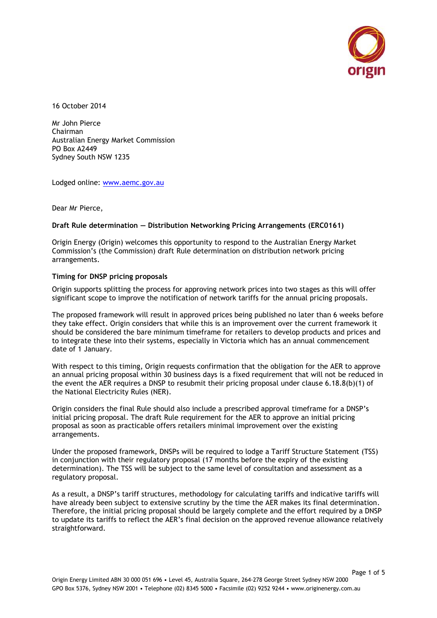

16 October 2014

Mr John Pierce Chairman Australian Energy Market Commission PO Box A2449 Sydney South NSW 1235

Lodged online: [www.aemc.gov.au](http://www.aemc.gov.au/)

Dear Mr Pierce,

### **Draft Rule determination — Distribution Networking Pricing Arrangements (ERC0161)**

Origin Energy (Origin) welcomes this opportunity to respond to the Australian Energy Market Commission's (the Commission) draft Rule determination on distribution network pricing arrangements.

# **Timing for DNSP pricing proposals**

Origin supports splitting the process for approving network prices into two stages as this will offer significant scope to improve the notification of network tariffs for the annual pricing proposals.

The proposed framework will result in approved prices being published no later than 6 weeks before they take effect. Origin considers that while this is an improvement over the current framework it should be considered the bare minimum timeframe for retailers to develop products and prices and to integrate these into their systems, especially in Victoria which has an annual commencement date of 1 January.

With respect to this timing, Origin requests confirmation that the obligation for the AER to approve an annual pricing proposal within 30 business days is a fixed requirement that will not be reduced in the event the AER requires a DNSP to resubmit their pricing proposal under clause 6.18.8(b)(1) of the National Electricity Rules (NER).

Origin considers the final Rule should also include a prescribed approval timeframe for a DNSP's initial pricing proposal. The draft Rule requirement for the AER to approve an initial pricing proposal as soon as practicable offers retailers minimal improvement over the existing arrangements.

Under the proposed framework, DNSPs will be required to lodge a Tariff Structure Statement (TSS) in conjunction with their regulatory proposal (17 months before the expiry of the existing determination). The TSS will be subject to the same level of consultation and assessment as a regulatory proposal.

As a result, a DNSP's tariff structures, methodology for calculating tariffs and indicative tariffs will have already been subject to extensive scrutiny by the time the AER makes its final determination. Therefore, the initial pricing proposal should be largely complete and the effort required by a DNSP to update its tariffs to reflect the AER's final decision on the approved revenue allowance relatively straightforward.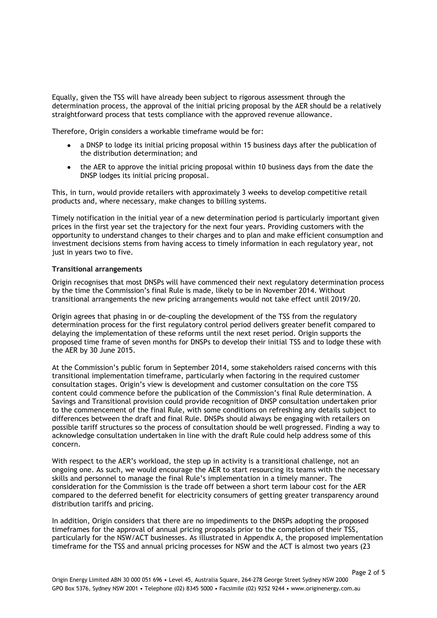Equally, given the TSS will have already been subject to rigorous assessment through the determination process, the approval of the initial pricing proposal by the AER should be a relatively straightforward process that tests compliance with the approved revenue allowance.

Therefore, Origin considers a workable timeframe would be for:

- a DNSP to lodge its initial pricing proposal within 15 business days after the publication of the distribution determination; and
- $\bullet$ the AER to approve the initial pricing proposal within 10 business days from the date the DNSP lodges its initial pricing proposal.

This, in turn, would provide retailers with approximately 3 weeks to develop competitive retail products and, where necessary, make changes to billing systems.

Timely notification in the initial year of a new determination period is particularly important given prices in the first year set the trajectory for the next four years. Providing customers with the opportunity to understand changes to their charges and to plan and make efficient consumption and investment decisions stems from having access to timely information in each regulatory year, not just in years two to five.

# **Transitional arrangements**

Origin recognises that most DNSPs will have commenced their next regulatory determination process by the time the Commission's final Rule is made, likely to be in November 2014. Without transitional arrangements the new pricing arrangements would not take effect until 2019/20.

Origin agrees that phasing in or de-coupling the development of the TSS from the regulatory determination process for the first regulatory control period delivers greater benefit compared to delaying the implementation of these reforms until the next reset period. Origin supports the proposed time frame of seven months for DNSPs to develop their initial TSS and to lodge these with the AER by 30 June 2015.

At the Commission's public forum in September 2014, some stakeholders raised concerns with this transitional implementation timeframe, particularly when factoring in the required customer consultation stages. Origin's view is development and customer consultation on the core TSS content could commence before the publication of the Commission's final Rule determination. A Savings and Transitional provision could provide recognition of DNSP consultation undertaken prior to the commencement of the final Rule, with some conditions on refreshing any details subject to differences between the draft and final Rule. DNSPs should always be engaging with retailers on possible tariff structures so the process of consultation should be well progressed. Finding a way to acknowledge consultation undertaken in line with the draft Rule could help address some of this concern.

With respect to the AER's workload, the step up in activity is a transitional challenge, not an ongoing one. As such, we would encourage the AER to start resourcing its teams with the necessary skills and personnel to manage the final Rule's implementation in a timely manner. The consideration for the Commission is the trade off between a short term labour cost for the AER compared to the deferred benefit for electricity consumers of getting greater transparency around distribution tariffs and pricing.

In addition, Origin considers that there are no impediments to the DNSPs adopting the proposed timeframes for the approval of annual pricing proposals prior to the completion of their TSS, particularly for the NSW/ACT businesses. As illustrated in Appendix A, the proposed implementation timeframe for the TSS and annual pricing processes for NSW and the ACT is almost two years (23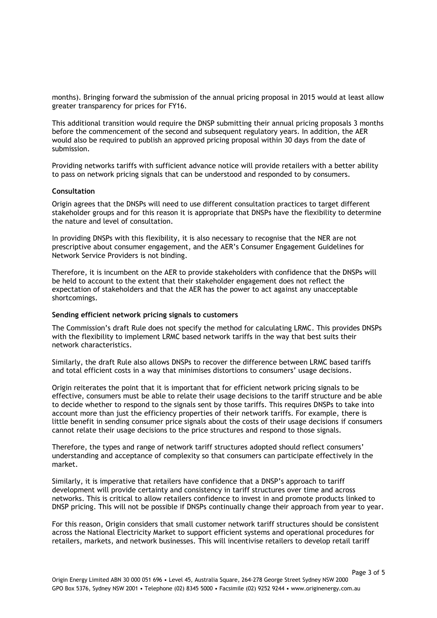months). Bringing forward the submission of the annual pricing proposal in 2015 would at least allow greater transparency for prices for FY16.

This additional transition would require the DNSP submitting their annual pricing proposals 3 months before the commencement of the second and subsequent regulatory years. In addition, the AER would also be required to publish an approved pricing proposal within 30 days from the date of submission.

Providing networks tariffs with sufficient advance notice will provide retailers with a better ability to pass on network pricing signals that can be understood and responded to by consumers.

### **Consultation**

Origin agrees that the DNSPs will need to use different consultation practices to target different stakeholder groups and for this reason it is appropriate that DNSPs have the flexibility to determine the nature and level of consultation.

In providing DNSPs with this flexibility, it is also necessary to recognise that the NER are not prescriptive about consumer engagement, and the AER's Consumer Engagement Guidelines for Network Service Providers is not binding.

Therefore, it is incumbent on the AER to provide stakeholders with confidence that the DNSPs will be held to account to the extent that their stakeholder engagement does not reflect the expectation of stakeholders and that the AER has the power to act against any unacceptable shortcomings.

#### **Sending efficient network pricing signals to customers**

The Commission's draft Rule does not specify the method for calculating LRMC. This provides DNSPs with the flexibility to implement LRMC based network tariffs in the way that best suits their network characteristics.

Similarly, the draft Rule also allows DNSPs to recover the difference between LRMC based tariffs and total efficient costs in a way that minimises distortions to consumers' usage decisions.

Origin reiterates the point that it is important that for efficient network pricing signals to be effective, consumers must be able to relate their usage decisions to the tariff structure and be able to decide whether to respond to the signals sent by those tariffs. This requires DNSPs to take into account more than just the efficiency properties of their network tariffs. For example, there is little benefit in sending consumer price signals about the costs of their usage decisions if consumers cannot relate their usage decisions to the price structures and respond to those signals.

Therefore, the types and range of network tariff structures adopted should reflect consumers' understanding and acceptance of complexity so that consumers can participate effectively in the market.

Similarly, it is imperative that retailers have confidence that a DNSP's approach to tariff development will provide certainty and consistency in tariff structures over time and across networks. This is critical to allow retailers confidence to invest in and promote products linked to DNSP pricing. This will not be possible if DNSPs continually change their approach from year to year.

For this reason, Origin considers that small customer network tariff structures should be consistent across the National Electricity Market to support efficient systems and operational procedures for retailers, markets, and network businesses. This will incentivise retailers to develop retail tariff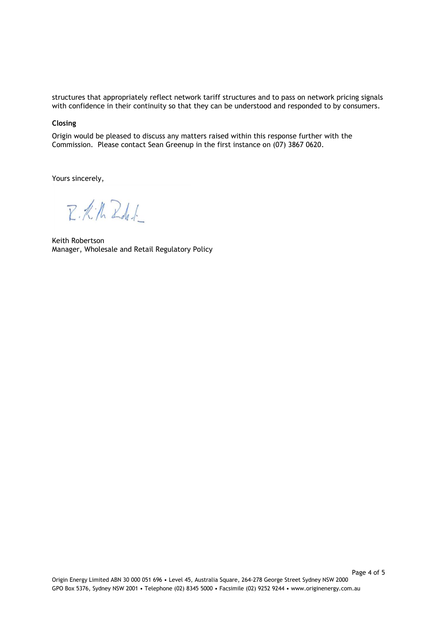structures that appropriately reflect network tariff structures and to pass on network pricing signals with confidence in their continuity so that they can be understood and responded to by consumers.

# **Closing**

Origin would be pleased to discuss any matters raised within this response further with the Commission. Please contact Sean Greenup in the first instance on (07) 3867 0620.

Yours sincerely,

 $Z \cdot K$ ,  $hZ_{d}$ .

Keith Robertson Manager, Wholesale and Retail Regulatory Policy